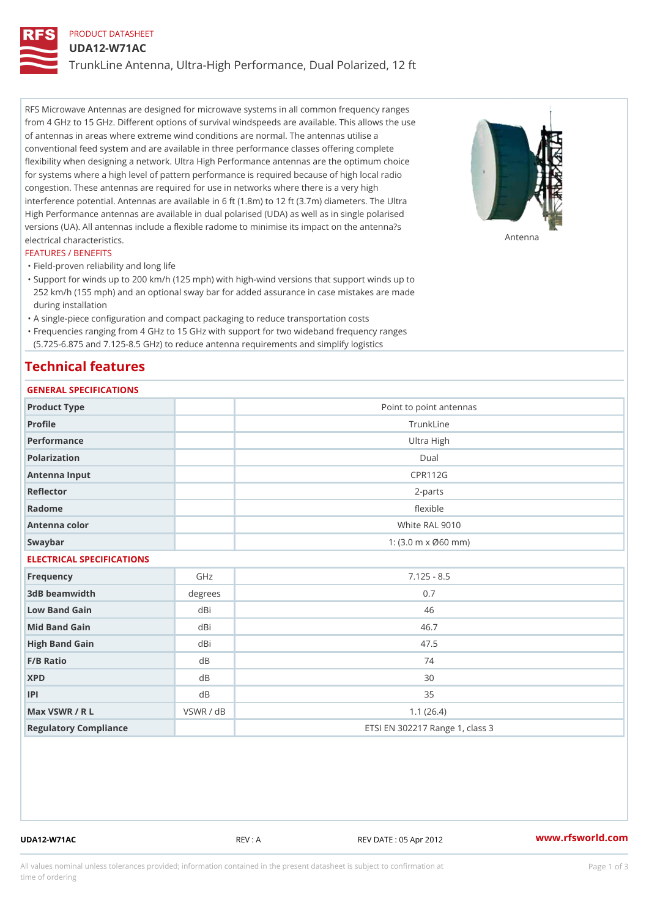# PRODUCT DATASHEET UDA12-W71AC TrunkLine Antenna, Ultra-High Performance, Dual Polarized, 12 ft

RFS Microwave Antennas are designed for microwave systems in all common frequency ranges from 4 GHz to 15 GHz. Different options of survival windspeeds are available. This allows the use of antennas in areas where extreme wind conditions are normal. The antennas utilise a conventional feed system and are available in three performance classes offering complete flexibility when designing a network. Ultra High Performance antennas are the optimum choice for systems where a high level of pattern performance is required because of high local radio congestion. These antennas are required for use in networks where there is a very high interference potential. Antennas are available in 6 ft (1.8m) to 12 ft (3.7m) diameters. The Ultra High Performance antennas are available in dual polarised (UDA) as well as in single polarised versions (UA). All antennas include a flexible radome to minimise its impact on the antenna?s electrical characteristics. Antenna

## FEATURES / BENEFITS

"Field-proven reliability and long life

- Support for winds up to 200 km/h (125 mph) with high-wind versions that support winds up to " 252 km/h (155 mph) and an optional sway bar for added assurance in case mistakes are made during installation
- "A single-piece configuration and compact packaging to reduce transportation costs
- Frequencies ranging from 4 GHz to 15 GHz with support for two wideband frequency ranges "
- (5.725-6.875 and 7.125-8.5 GHz) to reduce antenna requirements and simplify logistics

# Technical features

## GENERAL SPECIFICATIONS

| GENERAL SPECIFICATIONS    |                |                                                         |  |  |
|---------------------------|----------------|---------------------------------------------------------|--|--|
| Product Type              |                | Point to point antennas                                 |  |  |
| Profile                   |                | TrunkLine                                               |  |  |
| Performance               |                | Ultra High                                              |  |  |
| Polarization              |                | Dual                                                    |  |  |
| Antenna Input             |                | <b>CPR112G</b>                                          |  |  |
| Reflector                 |                | $2 - p$ arts                                            |  |  |
| Radome                    |                | flexible                                                |  |  |
| Antenna color             |                | White RAL 9010                                          |  |  |
| Swaybar                   |                | 1: $(3.0 \, \text{m} \times \emptyset 60 \, \text{mm})$ |  |  |
| ELECTRICAL SPECIFICATIONS |                |                                                         |  |  |
| Frequency                 | GHz            | $7.125 - 8.5$                                           |  |  |
| 3dB beamwidth             | degrees        | 0.7                                                     |  |  |
| Low Band Gain             | dBi            | 46                                                      |  |  |
| Mid Band Gain             | dBi            | 46.7                                                    |  |  |
| High Band Gain            | dBi            | 47.5                                                    |  |  |
| F/B Ratio                 | d B            | 74                                                      |  |  |
| <b>XPD</b>                | d <sub>B</sub> | 30                                                      |  |  |
| P                         | d B            | 35                                                      |  |  |
| Max VSWR / R L            | VSWR / dB      | 1.1(26.4)                                               |  |  |
| Regulatory Compliance     |                | ETSI EN 302217 Range 1, class 3                         |  |  |

UDA12-W71AC REV : A REV DATE : 05 Apr 2012 [www.](https://www.rfsworld.com)rfsworld.com

All values nominal unless tolerances provided; information contained in the present datasheet is subject to Pcapgeign mation time of ordering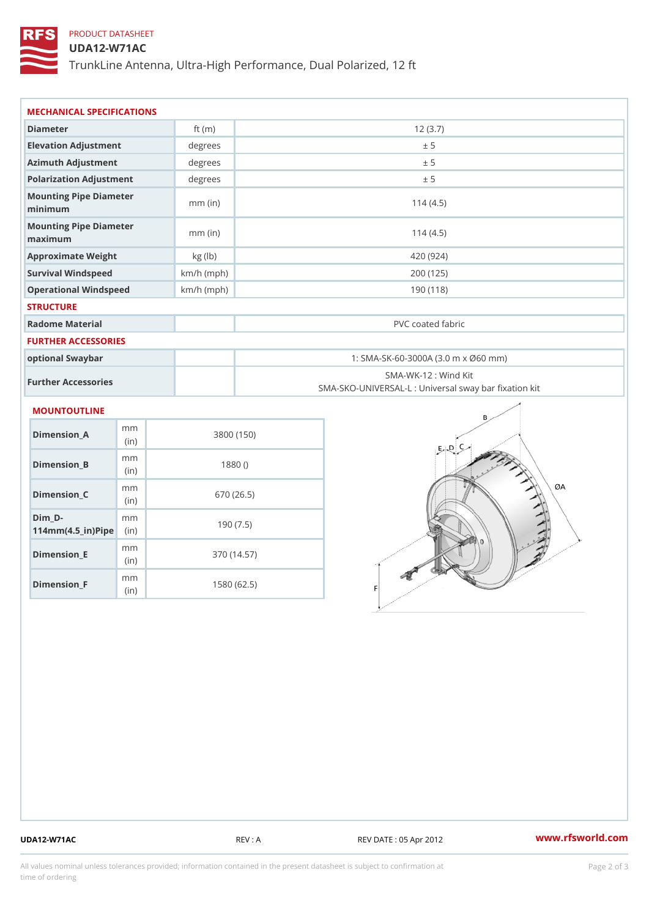# PRODUCT DATASHEET

## UDA12-W71AC

TrunkLine Antenna, Ultra-High Performance, Dual Polarized, 12 ft

| MECHANICAL SPECIFICATIONS                                                  |              |                                                                           |  |
|----------------------------------------------------------------------------|--------------|---------------------------------------------------------------------------|--|
| Diameter                                                                   | ft $(m)$     | 12(3.7)                                                                   |  |
| Elevation Adjustment                                                       | degree       | ± 5                                                                       |  |
| Azimuth Adjustment                                                         | degrees      | ± 5                                                                       |  |
| Polarization Adjustment                                                    | degrees      | ± 5                                                                       |  |
| Mounting Pipe Diameter<br>minimum                                          | $mm$ (in)    | 114(4.5)                                                                  |  |
| Mounting Pipe Diameter<br>maximum                                          | $mm$ (in)    | 114(4.5)                                                                  |  |
| Approximate Weight                                                         | kg (lb)      | 420 (924)                                                                 |  |
| Survival Windspeed                                                         | $km/h$ (mph) | 200 (125)                                                                 |  |
| Operational Windspeed                                                      | $km/h$ (mph) | 190 (118)                                                                 |  |
| <b>STRUCTURE</b>                                                           |              |                                                                           |  |
| Radome Material                                                            |              | PVC coated fabric                                                         |  |
| <b>FURTHER ACCESSORIES</b>                                                 |              |                                                                           |  |
| optional Swaybar                                                           |              | 1: SMA-SK-60-3000A (3.0 m x Ø60 mm)                                       |  |
| Further Accessories                                                        |              | SMA-WK-12 : Wind Kit<br>SMA-SKO-UNIVERSAL-L : Universal sway bar fixation |  |
| <b>MOUNTOUTLINE</b>                                                        |              |                                                                           |  |
| m m<br>Dimension_A<br>(in)                                                 |              | 3800 (150)                                                                |  |
| m m<br>$Dimension_B$<br>(in)                                               |              | 1880()                                                                    |  |
| m m<br>Dimension_C<br>(in)                                                 |              | 670 (26.5)                                                                |  |
| $Dim_D - D -$<br>m <sub>m</sub><br>$114$ m m $(4.5$ ir $)$ $\sqrt{$ ip $e$ |              | 190(7.5)                                                                  |  |

Dimension\_F m<sub>m</sub> (in) 1580 (62.5)

m<sub>m</sub> (in)

Dimension\_E

370 (14.57)

UDA12-W71AC REV : A REV DATE : 05 Apr 2012 [www.](https://www.rfsworld.com)rfsworld.com